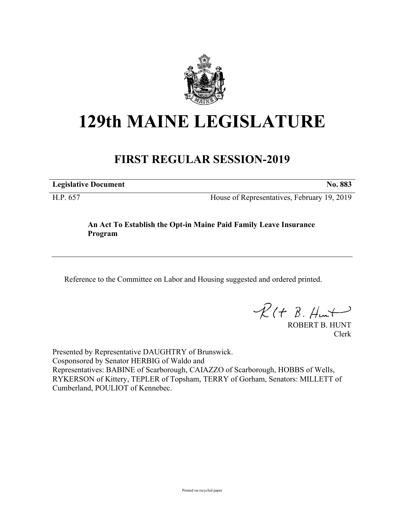

## **129th MAINE LEGISLATURE**

## **FIRST REGULAR SESSION-2019**

**Legislative Document No. 883**

H.P. 657 House of Representatives, February 19, 2019

## **An Act To Establish the Opt-in Maine Paid Family Leave Insurance Program**

Reference to the Committee on Labor and Housing suggested and ordered printed.

 $R(t B. Hmt)$ 

ROBERT B. HUNT Clerk

Presented by Representative DAUGHTRY of Brunswick. Cosponsored by Senator HERBIG of Waldo and Representatives: BABINE of Scarborough, CAIAZZO of Scarborough, HOBBS of Wells, RYKERSON of Kittery, TEPLER of Topsham, TERRY of Gorham, Senators: MILLETT of Cumberland, POULIOT of Kennebec.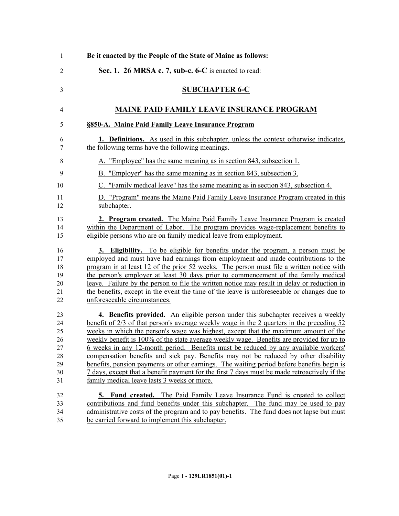| 1                                                  | Be it enacted by the People of the State of Maine as follows:                                                                                                                                                                                                                                                                                                                                                                                                                                                                                                                                                                                                                                                                                                                                    |
|----------------------------------------------------|--------------------------------------------------------------------------------------------------------------------------------------------------------------------------------------------------------------------------------------------------------------------------------------------------------------------------------------------------------------------------------------------------------------------------------------------------------------------------------------------------------------------------------------------------------------------------------------------------------------------------------------------------------------------------------------------------------------------------------------------------------------------------------------------------|
| $\overline{2}$                                     | Sec. 1. 26 MRSA c. 7, sub-c. 6-C is enacted to read:                                                                                                                                                                                                                                                                                                                                                                                                                                                                                                                                                                                                                                                                                                                                             |
| 3                                                  | <b>SUBCHAPTER 6-C</b>                                                                                                                                                                                                                                                                                                                                                                                                                                                                                                                                                                                                                                                                                                                                                                            |
| 4                                                  | <b>MAINE PAID FAMILY LEAVE INSURANCE PROGRAM</b>                                                                                                                                                                                                                                                                                                                                                                                                                                                                                                                                                                                                                                                                                                                                                 |
| 5                                                  | §850-A. Maine Paid Family Leave Insurance Program                                                                                                                                                                                                                                                                                                                                                                                                                                                                                                                                                                                                                                                                                                                                                |
| 6<br>7                                             | <b>1. Definitions.</b> As used in this subchapter, unless the context otherwise indicates,<br>the following terms have the following meanings.                                                                                                                                                                                                                                                                                                                                                                                                                                                                                                                                                                                                                                                   |
| 8                                                  | A. "Employee" has the same meaning as in section 843, subsection 1.                                                                                                                                                                                                                                                                                                                                                                                                                                                                                                                                                                                                                                                                                                                              |
| 9                                                  | B. "Employer" has the same meaning as in section 843, subsection 3.                                                                                                                                                                                                                                                                                                                                                                                                                                                                                                                                                                                                                                                                                                                              |
| 10                                                 | C. "Family medical leave" has the same meaning as in section 843, subsection 4.                                                                                                                                                                                                                                                                                                                                                                                                                                                                                                                                                                                                                                                                                                                  |
| 11<br>12                                           | D. "Program" means the Maine Paid Family Leave Insurance Program created in this<br>subchapter.                                                                                                                                                                                                                                                                                                                                                                                                                                                                                                                                                                                                                                                                                                  |
| 13<br>14<br>15                                     | 2. Program created. The Maine Paid Family Leave Insurance Program is created<br>within the Department of Labor. The program provides wage-replacement benefits to<br>eligible persons who are on family medical leave from employment.                                                                                                                                                                                                                                                                                                                                                                                                                                                                                                                                                           |
| 16<br>17<br>18<br>19<br>20<br>21<br>22             | <b>3. Eligibility.</b> To be eligible for benefits under the program, a person must be<br>employed and must have had earnings from employment and made contributions to the<br>program in at least 12 of the prior 52 weeks. The person must file a written notice with<br>the person's employer at least 30 days prior to commencement of the family medical<br>leave. Failure by the person to file the written notice may result in delay or reduction in<br>the benefits, except in the event the time of the leave is unforeseeable or changes due to<br>unforeseeable circumstances.                                                                                                                                                                                                       |
| 23<br>24<br>25<br>26<br>27<br>28<br>29<br>30<br>31 | 4. Benefits provided. An eligible person under this subchapter receives a weekly<br><u>benefit of 2/3 of that person's average weekly wage in the 2 quarters in the preceding 52</u><br>weeks in which the person's wage was highest, except that the maximum amount of the<br>weekly benefit is 100% of the state average weekly wage. Benefits are provided for up to<br>6 weeks in any 12-month period. Benefits must be reduced by any available workers'<br>compensation benefits and sick pay. Benefits may not be reduced by other disability<br>benefits, pension payments or other earnings. The waiting period before benefits begin is<br>7 days, except that a benefit payment for the first 7 days must be made retroactively if the<br>family medical leave lasts 3 weeks or more. |
| 32<br>33<br>34<br>35                               | <b>5. Fund created.</b> The Paid Family Leave Insurance Fund is created to collect<br>contributions and fund benefits under this subchapter. The fund may be used to pay<br>administrative costs of the program and to pay benefits. The fund does not lapse but must<br>be carried forward to implement this subchapter.                                                                                                                                                                                                                                                                                                                                                                                                                                                                        |